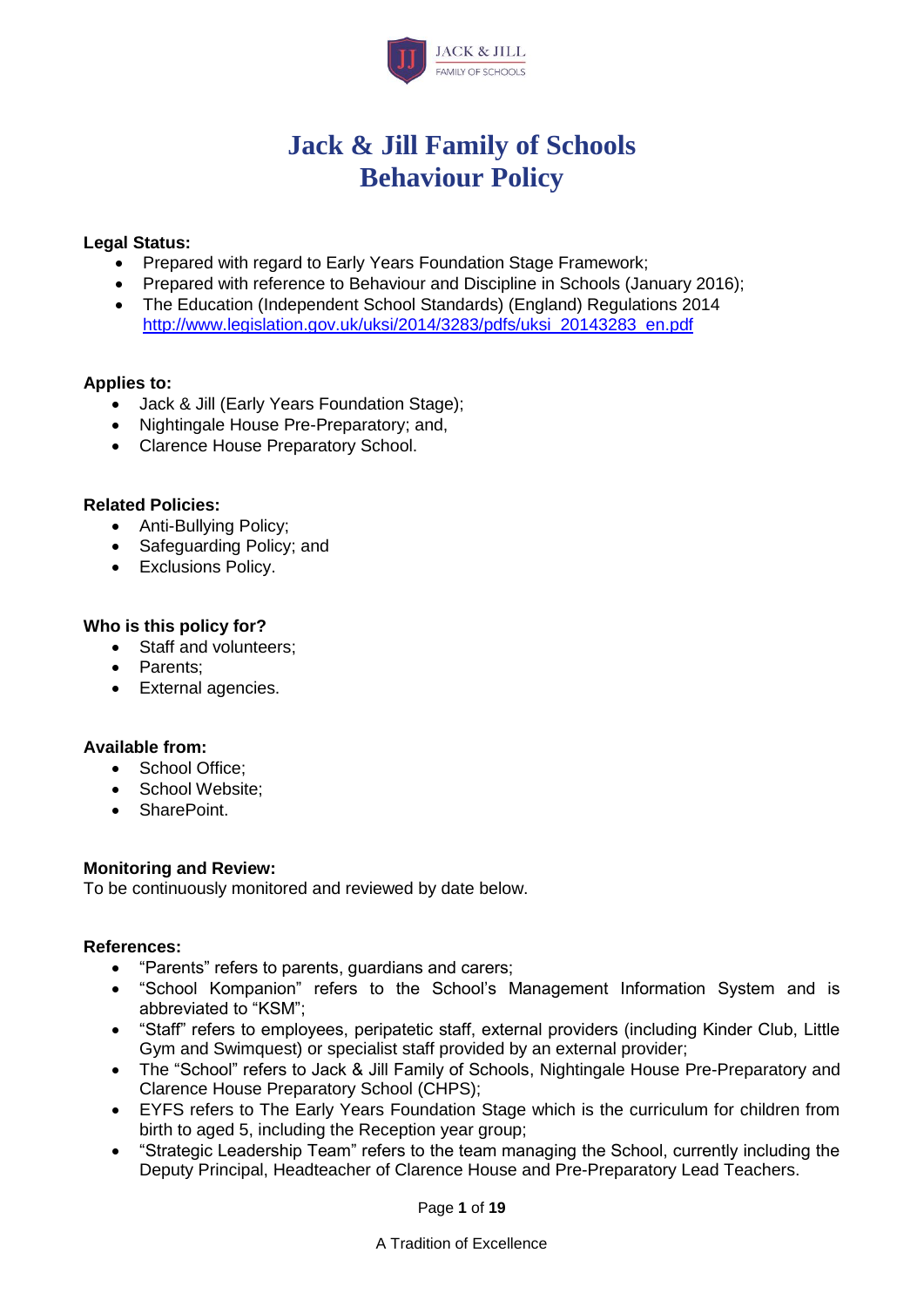

# **Jack & Jill Family of Schools Behaviour Policy**

#### **Legal Status:**

- Prepared with regard to Early Years Foundation Stage Framework;
- Prepared with reference to Behaviour and Discipline in Schools (January 2016);
- The Education (Independent School Standards) (England) Regulations 2014 [http://www.legislation.gov.uk/uksi/2014/3283/pdfs/uksi\\_20143283\\_en.pdf](http://www.legislation.gov.uk/uksi/2014/3283/pdfs/uksi_20143283_en.pdf)

#### **Applies to:**

- Jack & Jill (Early Years Foundation Stage);
- Nightingale House Pre-Preparatory; and,
- Clarence House Preparatory School.

#### **Related Policies:**

- Anti-Bullying Policy;
- Safeguarding Policy; and
- Exclusions Policy.

#### **Who is this policy for?**

- Staff and volunteers;
- Parents:
- External agencies.

#### **Available from:**

- School Office:
- School Website:
- SharePoint.

#### **Monitoring and Review:**

To be continuously monitored and reviewed by date below.

#### **References:**

- "Parents" refers to parents, guardians and carers;
- "School Kompanion" refers to the School's Management Information System and is abbreviated to "KSM";
- "Staff" refers to employees, peripatetic staff, external providers (including Kinder Club, Little Gym and Swimquest) or specialist staff provided by an external provider;
- The "School" refers to Jack & Jill Family of Schools, Nightingale House Pre-Preparatory and Clarence House Preparatory School (CHPS);
- EYFS refers to The Early Years Foundation Stage which is the curriculum for children from birth to aged 5, including the Reception year group;
- "Strategic Leadership Team" refers to the team managing the School, currently including the Deputy Principal, Headteacher of Clarence House and Pre-Preparatory Lead Teachers.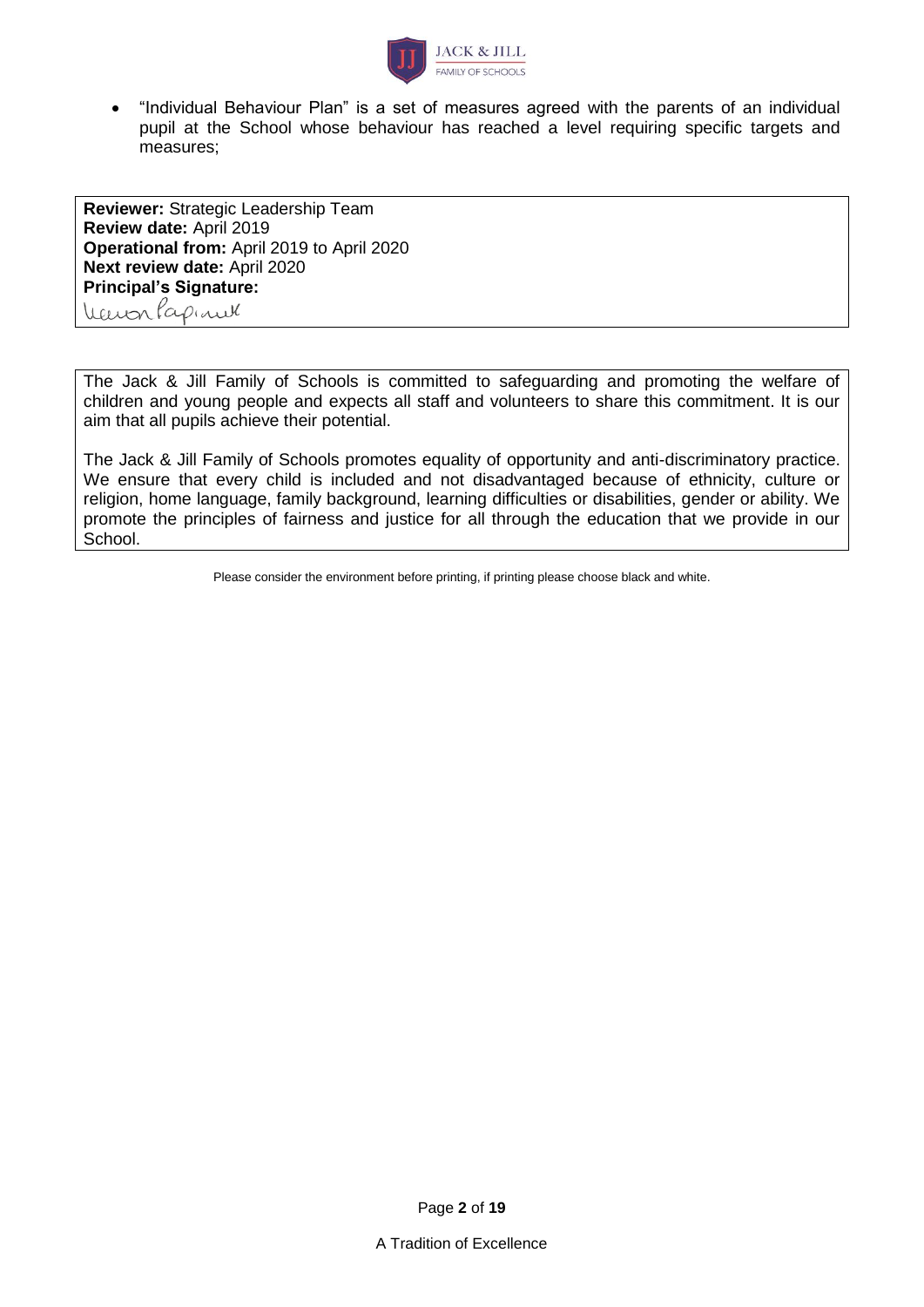

• "Individual Behaviour Plan" is a set of measures agreed with the parents of an individual pupil at the School whose behaviour has reached a level requiring specific targets and measures;

**Reviewer:** Strategic Leadership Team **Review date:** April 2019 **Operational from:** April 2019 to April 2020 **Next review date:** April 2020 **Principal's Signature:** WarrenPapinel

The Jack & Jill Family of Schools is committed to safeguarding and promoting the welfare of children and young people and expects all staff and volunteers to share this commitment. It is our aim that all pupils achieve their potential.

The Jack & Jill Family of Schools promotes equality of opportunity and anti-discriminatory practice. We ensure that every child is included and not disadvantaged because of ethnicity, culture or religion, home language, family background, learning difficulties or disabilities, gender or ability. We promote the principles of fairness and justice for all through the education that we provide in our School.

Please consider the environment before printing, if printing please choose black and white.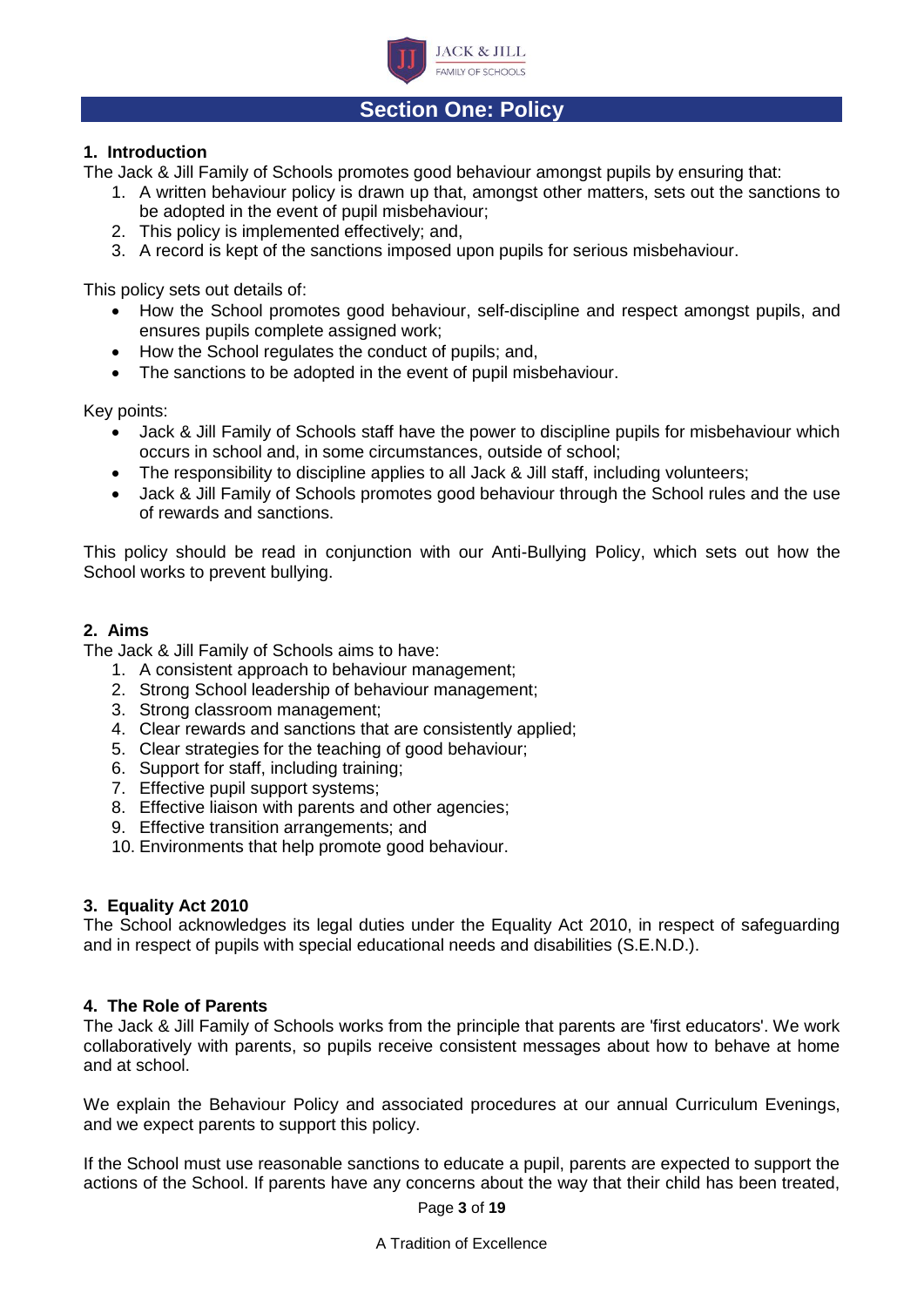

## **Section One: Policy**

#### **1. Introduction**

The Jack & Jill Family of Schools promotes good behaviour amongst pupils by ensuring that:

- 1. A written behaviour policy is drawn up that, amongst other matters, sets out the sanctions to be adopted in the event of pupil misbehaviour;
- 2. This policy is implemented effectively; and,
- 3. A record is kept of the sanctions imposed upon pupils for serious misbehaviour.

This policy sets out details of:

- How the School promotes good behaviour, self-discipline and respect amongst pupils, and ensures pupils complete assigned work;
- How the School regulates the conduct of pupils; and,
- The sanctions to be adopted in the event of pupil misbehaviour.

Key points:

- Jack & Jill Family of Schools staff have the power to discipline pupils for misbehaviour which occurs in school and, in some circumstances, outside of school;
- The responsibility to discipline applies to all Jack & Jill staff, including volunteers;
- Jack & Jill Family of Schools promotes good behaviour through the School rules and the use of rewards and sanctions.

This policy should be read in conjunction with our Anti-Bullying Policy, which sets out how the School works to prevent bullying.

#### **2. Aims**

The Jack & Jill Family of Schools aims to have:

- 1. A consistent approach to behaviour management;
- 2. Strong School leadership of behaviour management;
- 3. Strong classroom management;
- 4. Clear rewards and sanctions that are consistently applied;
- 5. Clear strategies for the teaching of good behaviour;
- 6. Support for staff, including training;
- 7. Effective pupil support systems;
- 8. Effective liaison with parents and other agencies;
- 9. Effective transition arrangements; and
- 10. Environments that help promote good behaviour.

#### **3. Equality Act 2010**

The School acknowledges its legal duties under the Equality Act 2010, in respect of safeguarding and in respect of pupils with special educational needs and disabilities (S.E.N.D.).

#### **4. The Role of Parents**

The Jack & Jill Family of Schools works from the principle that parents are 'first educators'. We work collaboratively with parents, so pupils receive consistent messages about how to behave at home and at school.

We explain the Behaviour Policy and associated procedures at our annual Curriculum Evenings, and we expect parents to support this policy.

If the School must use reasonable sanctions to educate a pupil, parents are expected to support the actions of the School. If parents have any concerns about the way that their child has been treated,

Page **3** of **19**

A Tradition of Excellence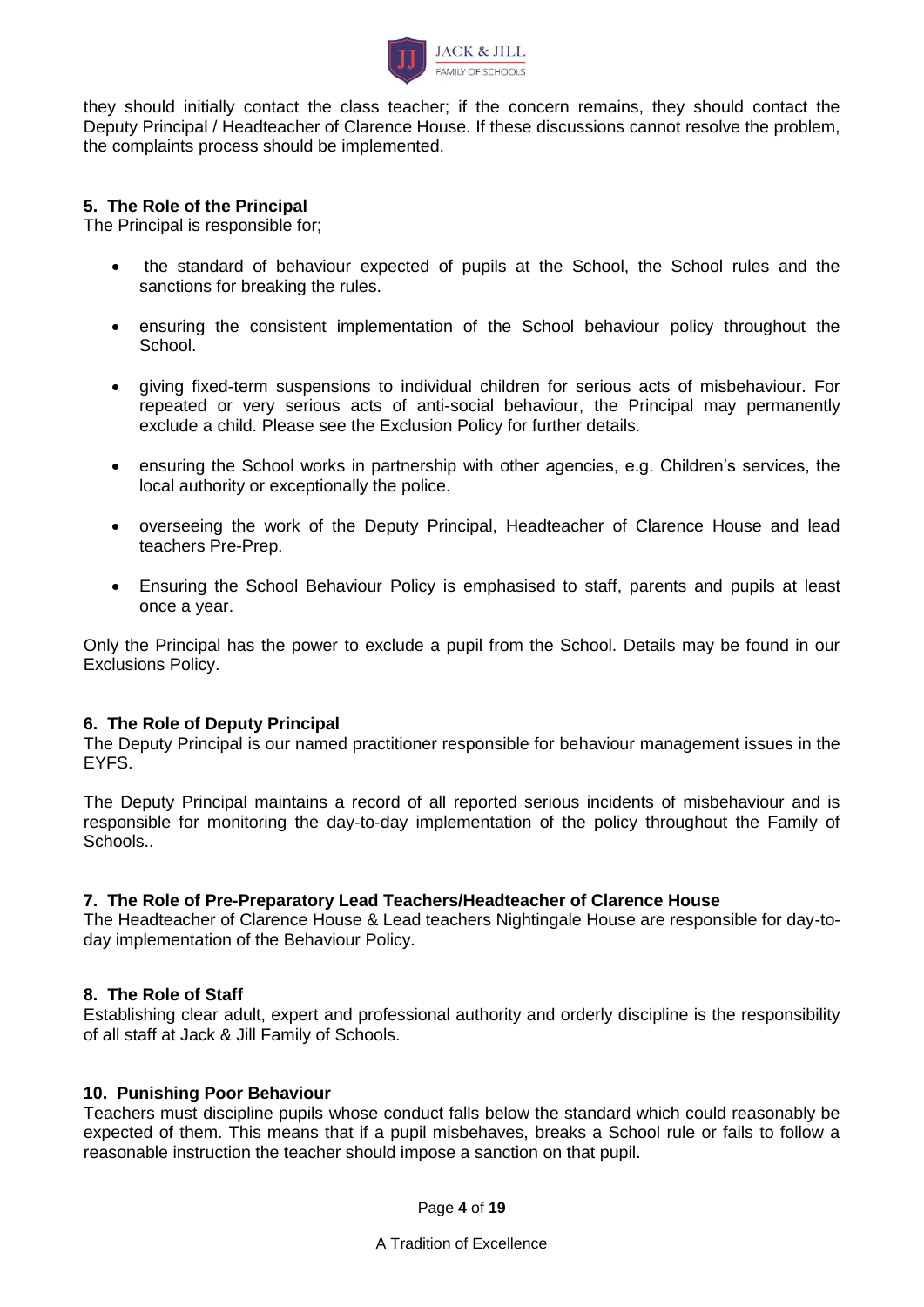

they should initially contact the class teacher; if the concern remains, they should contact the Deputy Principal / Headteacher of Clarence House. If these discussions cannot resolve the problem, the complaints process should be implemented.

#### **5. The Role of the Principal**

The Principal is responsible for;

- the standard of behaviour expected of pupils at the School, the School rules and the sanctions for breaking the rules.
- ensuring the consistent implementation of the School behaviour policy throughout the School.
- giving fixed-term suspensions to individual children for serious acts of misbehaviour. For repeated or very serious acts of anti-social behaviour, the Principal may permanently exclude a child. Please see the Exclusion Policy for further details.
- ensuring the School works in partnership with other agencies, e.g. Children's services, the local authority or exceptionally the police.
- overseeing the work of the Deputy Principal, Headteacher of Clarence House and lead teachers Pre-Prep.
- Ensuring the School Behaviour Policy is emphasised to staff, parents and pupils at least once a year.

Only the Principal has the power to exclude a pupil from the School. Details may be found in our Exclusions Policy.

#### **6. The Role of Deputy Principal**

The Deputy Principal is our named practitioner responsible for behaviour management issues in the EYFS.

The Deputy Principal maintains a record of all reported serious incidents of misbehaviour and is responsible for monitoring the day-to-day implementation of the policy throughout the Family of Schools..

#### **7. The Role of Pre-Preparatory Lead Teachers/Headteacher of Clarence House**

The Headteacher of Clarence House & Lead teachers Nightingale House are responsible for day-today implementation of the Behaviour Policy.

#### **8. The Role of Staff**

Establishing clear adult, expert and professional authority and orderly discipline is the responsibility of all staff at Jack & Jill Family of Schools.

#### **10. Punishing Poor Behaviour**

Teachers must discipline pupils whose conduct falls below the standard which could reasonably be expected of them. This means that if a pupil misbehaves, breaks a School rule or fails to follow a reasonable instruction the teacher should impose a sanction on that pupil.

Page **4** of **19**

A Tradition of Excellence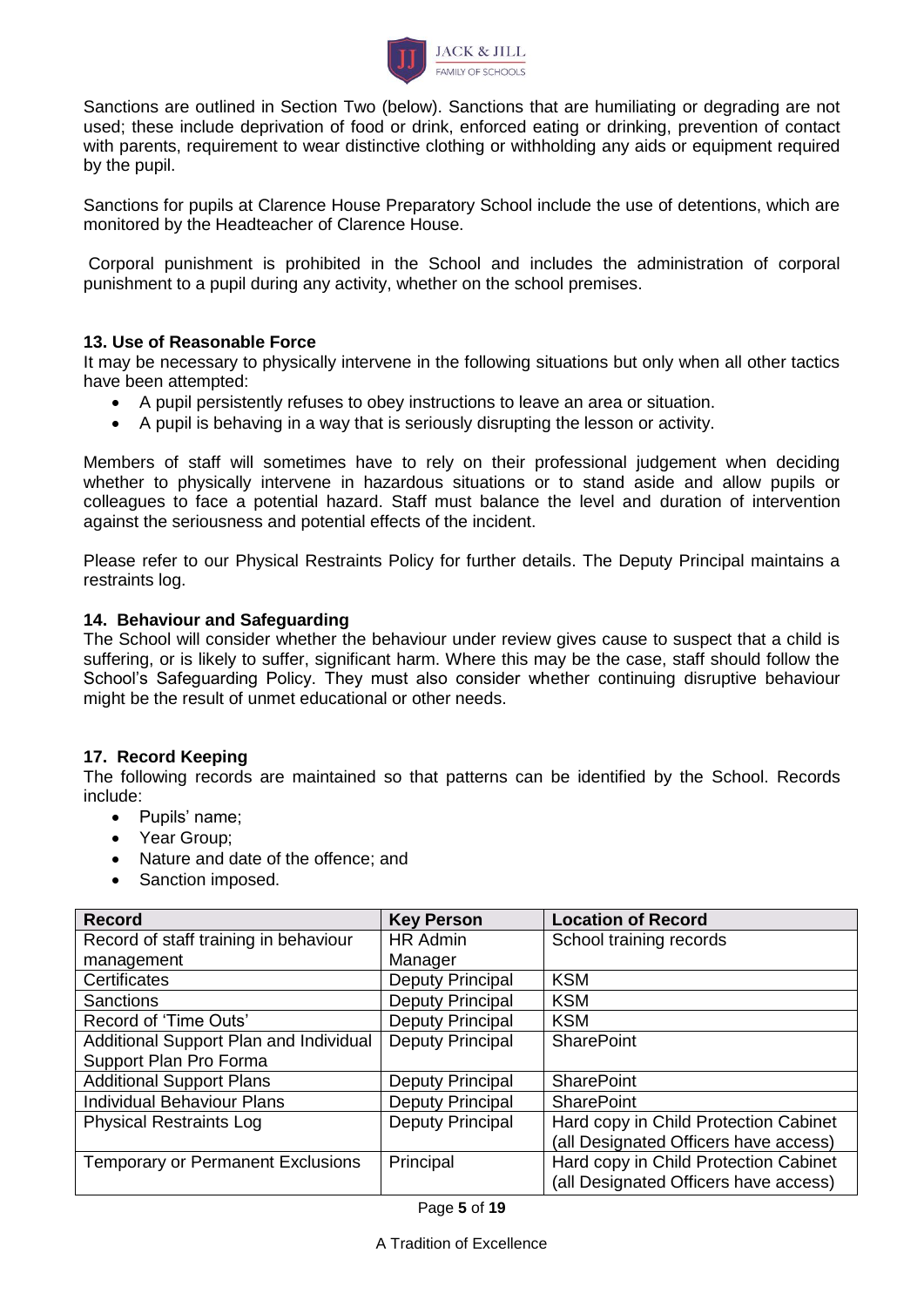

Sanctions are outlined in Section Two (below). Sanctions that are humiliating or degrading are not used; these include deprivation of food or drink, enforced eating or drinking, prevention of contact with parents, requirement to wear distinctive clothing or withholding any aids or equipment required by the pupil.

Sanctions for pupils at Clarence House Preparatory School include the use of detentions, which are monitored by the Headteacher of Clarence House.

Corporal punishment is prohibited in the School and includes the administration of corporal punishment to a pupil during any activity, whether on the school premises.

#### **13. Use of Reasonable Force**

It may be necessary to physically intervene in the following situations but only when all other tactics have been attempted:

- A pupil persistently refuses to obey instructions to leave an area or situation.
- A pupil is behaving in a way that is seriously disrupting the lesson or activity.

Members of staff will sometimes have to rely on their professional judgement when deciding whether to physically intervene in hazardous situations or to stand aside and allow pupils or colleagues to face a potential hazard. Staff must balance the level and duration of intervention against the seriousness and potential effects of the incident.

Please refer to our Physical Restraints Policy for further details. The Deputy Principal maintains a restraints log.

#### **14. Behaviour and Safeguarding**

The School will consider whether the behaviour under review gives cause to suspect that a child is suffering, or is likely to suffer, significant harm. Where this may be the case, staff should follow the School's Safeguarding Policy. They must also consider whether continuing disruptive behaviour might be the result of unmet educational or other needs.

#### **17. Record Keeping**

The following records are maintained so that patterns can be identified by the School. Records include:

- Pupils' name;
- Year Group;
- Nature and date of the offence; and
- Sanction imposed.

| <b>Key Person</b>       | <b>Location of Record</b>             |
|-------------------------|---------------------------------------|
| <b>HR Admin</b>         | School training records               |
| Manager                 |                                       |
| <b>Deputy Principal</b> | <b>KSM</b>                            |
| Deputy Principal        | <b>KSM</b>                            |
| <b>Deputy Principal</b> | <b>KSM</b>                            |
| Deputy Principal        | <b>SharePoint</b>                     |
|                         |                                       |
| Deputy Principal        | <b>SharePoint</b>                     |
| Deputy Principal        | <b>SharePoint</b>                     |
| <b>Deputy Principal</b> | Hard copy in Child Protection Cabinet |
|                         | (all Designated Officers have access) |
| Principal               | Hard copy in Child Protection Cabinet |
|                         | (all Designated Officers have access) |
|                         |                                       |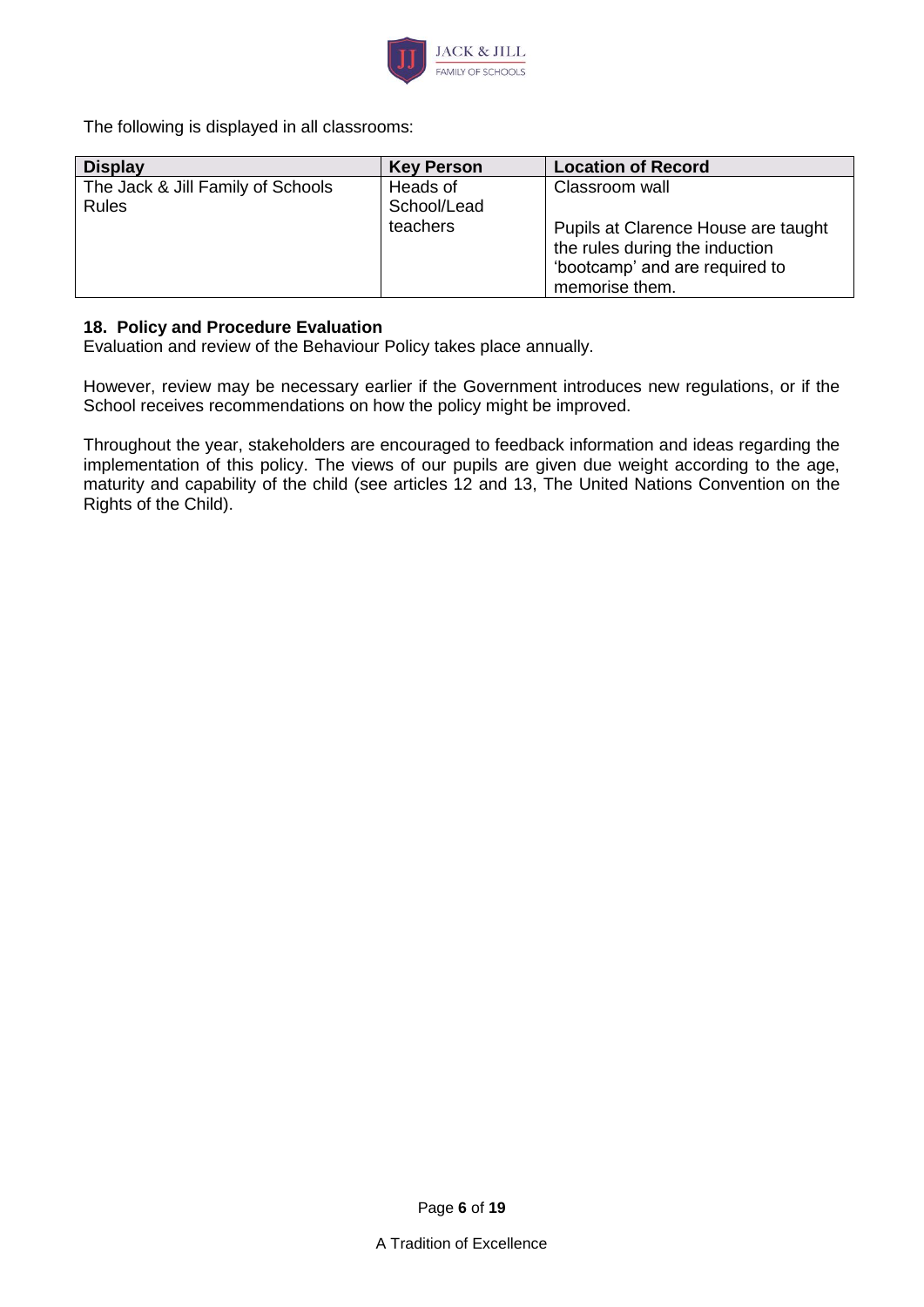

The following is displayed in all classrooms:

| <b>Display</b>                    | <b>Key Person</b> | <b>Location of Record</b>           |
|-----------------------------------|-------------------|-------------------------------------|
| The Jack & Jill Family of Schools | Heads of          | Classroom wall                      |
| Rules                             | School/Lead       |                                     |
|                                   | teachers          | Pupils at Clarence House are taught |
|                                   |                   | the rules during the induction      |
|                                   |                   | 'bootcamp' and are required to      |
|                                   |                   | memorise them.                      |

#### **18. Policy and Procedure Evaluation**

Evaluation and review of the Behaviour Policy takes place annually.

However, review may be necessary earlier if the Government introduces new regulations, or if the School receives recommendations on how the policy might be improved.

Throughout the year, stakeholders are encouraged to feedback information and ideas regarding the implementation of this policy. The views of our pupils are given due weight according to the age, maturity and capability of the child (see articles 12 and 13, The United Nations Convention on the Rights of the Child).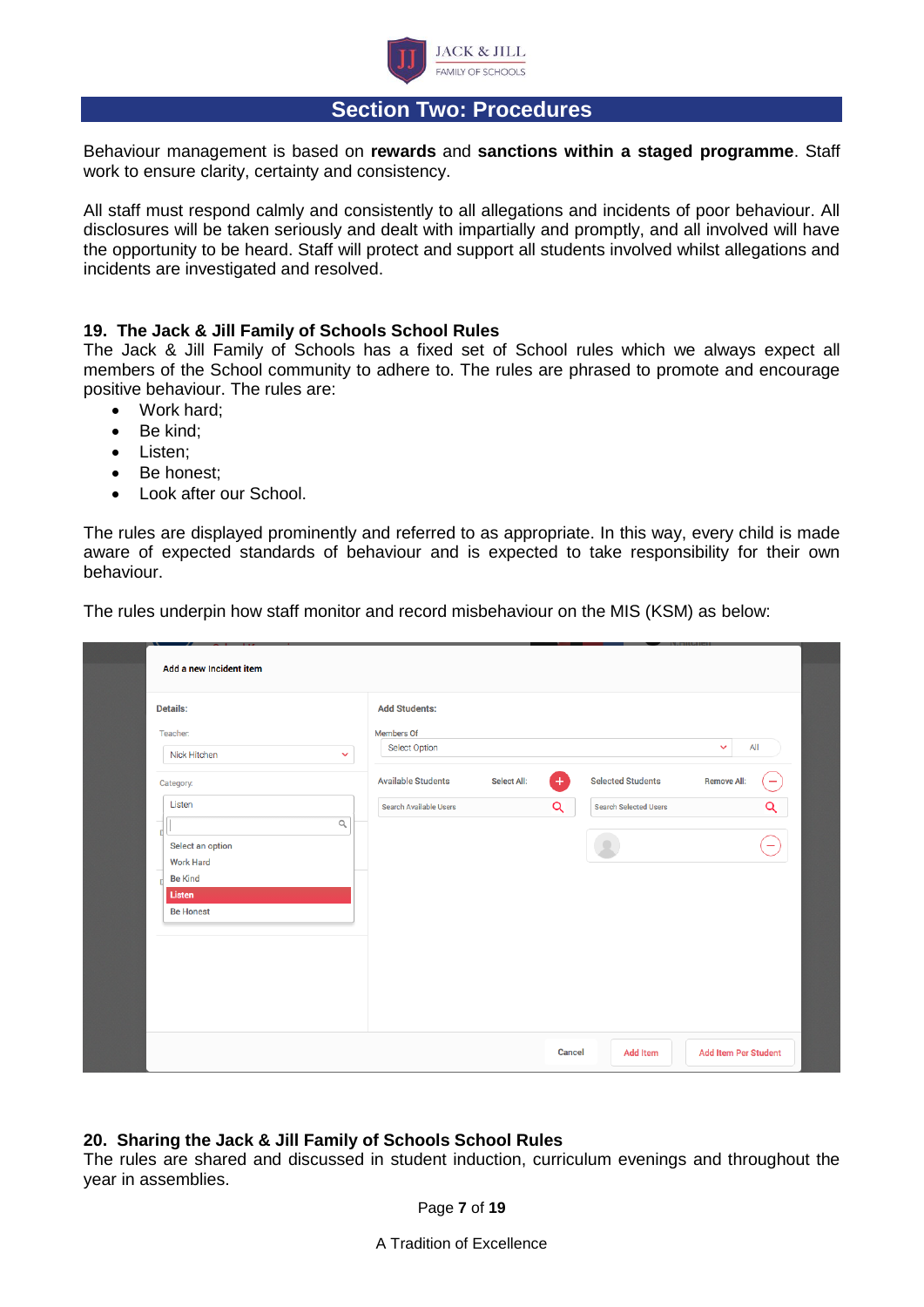

### **Section Two: Procedures**

Behaviour management is based on **rewards** and **sanctions within a staged programme**. Staff work to ensure clarity, certainty and consistency.

All staff must respond calmly and consistently to all allegations and incidents of poor behaviour. All disclosures will be taken seriously and dealt with impartially and promptly, and all involved will have the opportunity to be heard. Staff will protect and support all students involved whilst allegations and incidents are investigated and resolved.

#### **19. The Jack & Jill Family of Schools School Rules**

The Jack & Jill Family of Schools has a fixed set of School rules which we always expect all members of the School community to adhere to. The rules are phrased to promote and encourage positive behaviour. The rules are:

- Work hard;
- Be kind:
- Listen;
- Be honest;
- Look after our School.

The rules are displayed prominently and referred to as appropriate. In this way, every child is made aware of expected standards of behaviour and is expected to take responsibility for their own behaviour.

The rules underpin how staff monitor and record misbehaviour on the MIS (KSM) as below:

| Details:         |              | <b>Add Students:</b>          |                    |        |                              |                             |
|------------------|--------------|-------------------------------|--------------------|--------|------------------------------|-----------------------------|
| <b>Teacher:</b>  |              | Members Of                    |                    |        |                              |                             |
| Nick Hitchen     | $\checkmark$ | <b>Select Option</b>          |                    |        |                              | All<br>$\checkmark$         |
| Category:        |              | <b>Available Students</b>     | <b>Select All:</b> | $+$    | <b>Selected Students</b>     | <b>Remove All:</b><br>۰     |
| Listen           |              | <b>Search Available Users</b> |                    | Q      | <b>Search Selected Users</b> | Q                           |
|                  | $\alpha$     |                               |                    |        |                              |                             |
| Select an option |              |                               |                    |        |                              | ÷                           |
| <b>Work Hard</b> |              |                               |                    |        |                              |                             |
| <b>Be Kind</b>   |              |                               |                    |        |                              |                             |
| Listen           |              |                               |                    |        |                              |                             |
| <b>Be Honest</b> |              |                               |                    |        |                              |                             |
|                  |              |                               |                    |        |                              |                             |
|                  |              |                               |                    |        |                              |                             |
|                  |              |                               |                    |        |                              |                             |
|                  |              |                               |                    |        |                              |                             |
|                  |              |                               |                    |        |                              |                             |
|                  |              |                               |                    |        |                              |                             |
|                  |              |                               |                    |        |                              |                             |
|                  |              |                               |                    | Cancel | <b>Add Item</b>              | <b>Add Item Per Student</b> |

#### **20. Sharing the Jack & Jill Family of Schools School Rules**

The rules are shared and discussed in student induction, curriculum evenings and throughout the year in assemblies.

Page **7** of **19**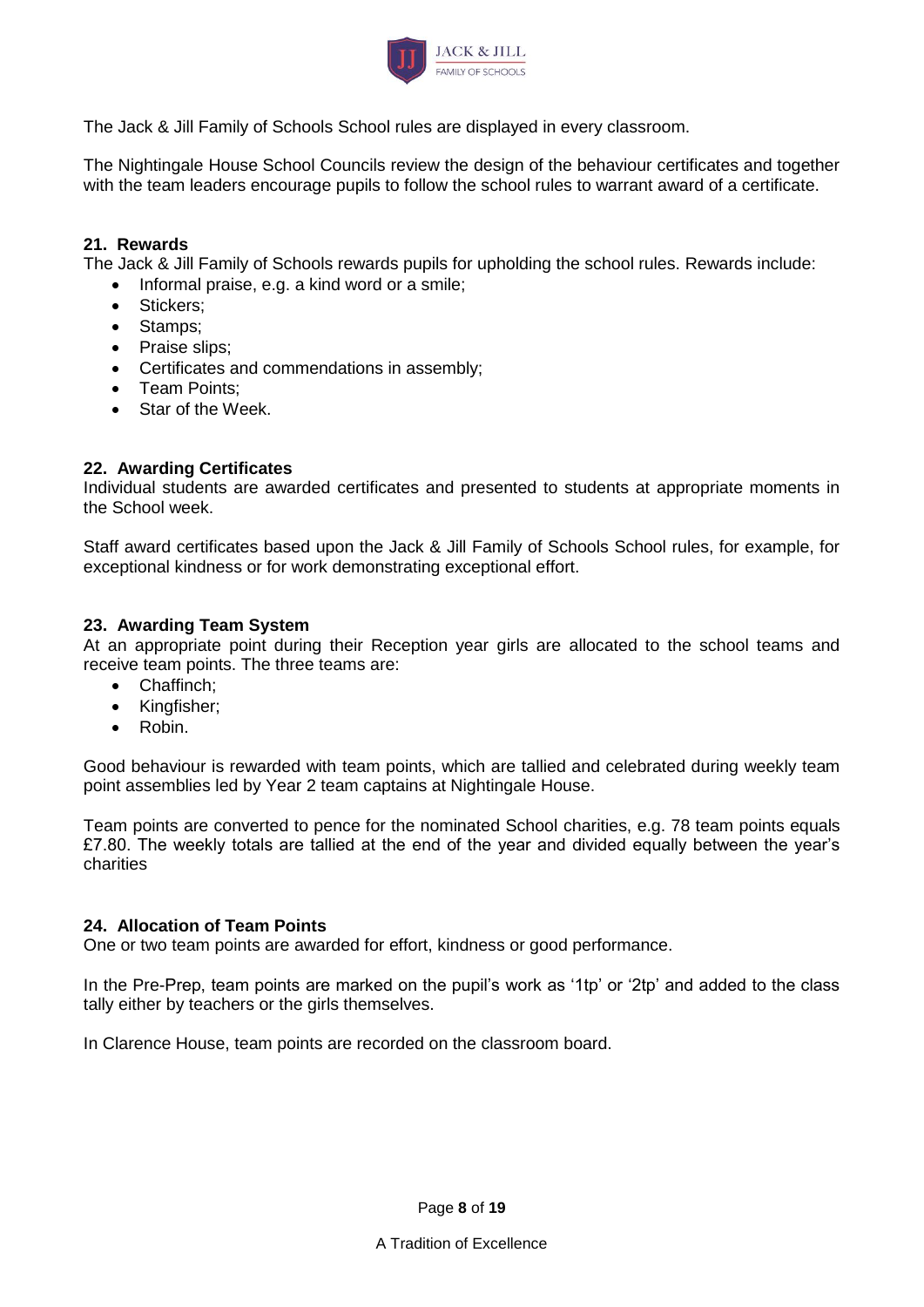

The Jack & Jill Family of Schools School rules are displayed in every classroom.

The Nightingale House School Councils review the design of the behaviour certificates and together with the team leaders encourage pupils to follow the school rules to warrant award of a certificate.

#### **21. Rewards**

The Jack & Jill Family of Schools rewards pupils for upholding the school rules. Rewards include:

- Informal praise, e.g. a kind word or a smile;
- Stickers:
- Stamps;
- Praise slips;
- Certificates and commendations in assembly;
- Team Points;
- Star of the Week.

#### **22. Awarding Certificates**

Individual students are awarded certificates and presented to students at appropriate moments in the School week.

Staff award certificates based upon the Jack & Jill Family of Schools School rules, for example, for exceptional kindness or for work demonstrating exceptional effort.

#### **23. Awarding Team System**

At an appropriate point during their Reception year girls are allocated to the school teams and receive team points. The three teams are:

- Chaffinch;
- Kingfisher;
- Robin.

Good behaviour is rewarded with team points, which are tallied and celebrated during weekly team point assemblies led by Year 2 team captains at Nightingale House.

Team points are converted to pence for the nominated School charities, e.g. 78 team points equals £7.80. The weekly totals are tallied at the end of the year and divided equally between the year's charities

#### **24. Allocation of Team Points**

One or two team points are awarded for effort, kindness or good performance.

In the Pre-Prep, team points are marked on the pupil's work as '1tp' or '2tp' and added to the class tally either by teachers or the girls themselves.

In Clarence House, team points are recorded on the classroom board.

Page **8** of **19**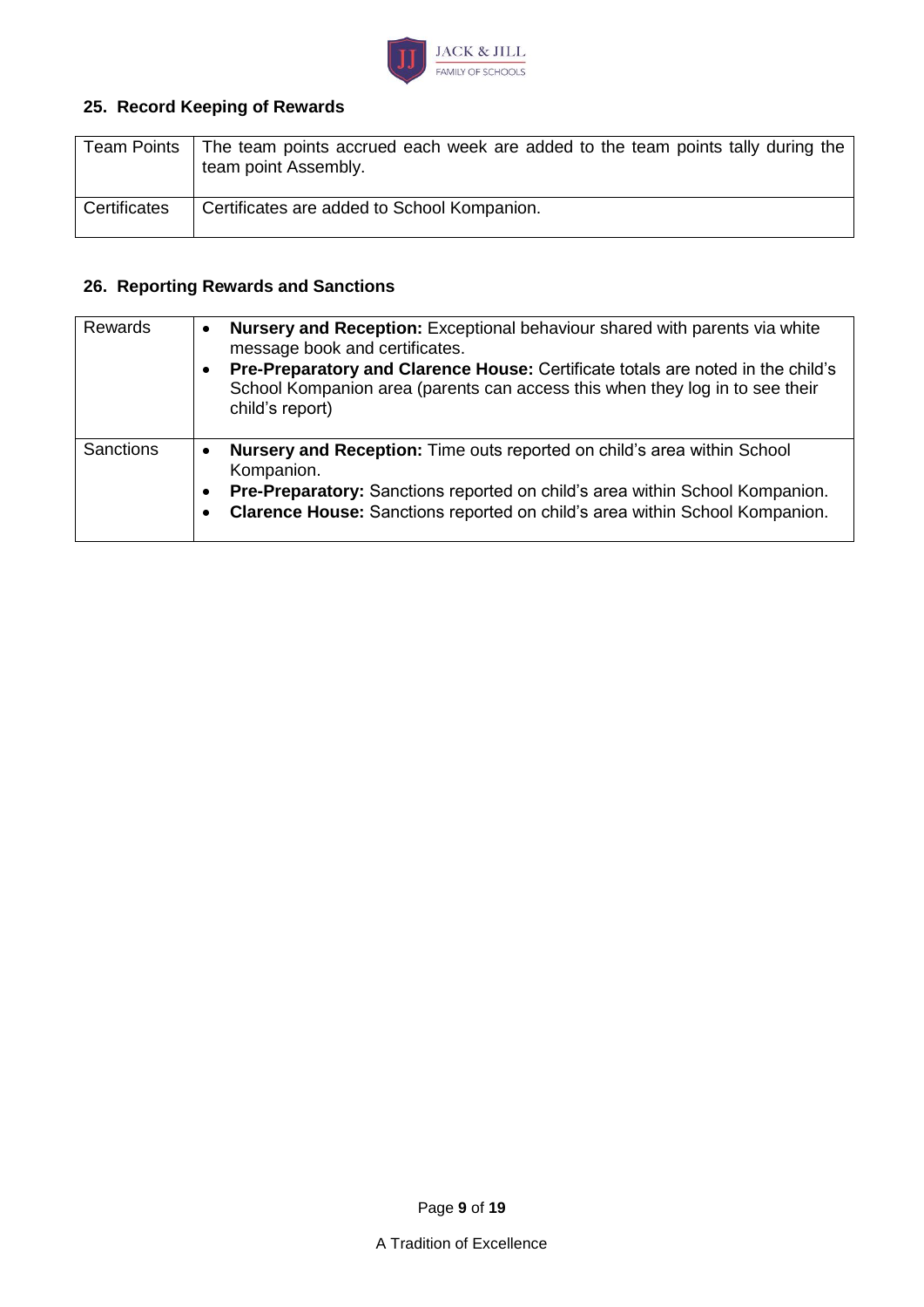

## **25. Record Keeping of Rewards**

| <b>Team Points</b> | The team points accrued each week are added to the team points tally during the<br>team point Assembly. |
|--------------------|---------------------------------------------------------------------------------------------------------|
| Certificates       | Certificates are added to School Kompanion.                                                             |

## **26. Reporting Rewards and Sanctions**

| Rewards          | <b>Nursery and Reception:</b> Exceptional behaviour shared with parents via white<br>message book and certificates.<br>Pre-Preparatory and Clarence House: Certificate totals are noted in the child's<br>School Kompanion area (parents can access this when they log in to see their<br>child's report) |
|------------------|-----------------------------------------------------------------------------------------------------------------------------------------------------------------------------------------------------------------------------------------------------------------------------------------------------------|
| <b>Sanctions</b> | <b>Nursery and Reception:</b> Time outs reported on child's area within School<br>Kompanion.<br>Pre-Preparatory: Sanctions reported on child's area within School Kompanion.<br>Clarence House: Sanctions reported on child's area within School Kompanion.                                               |

Page **9** of **19**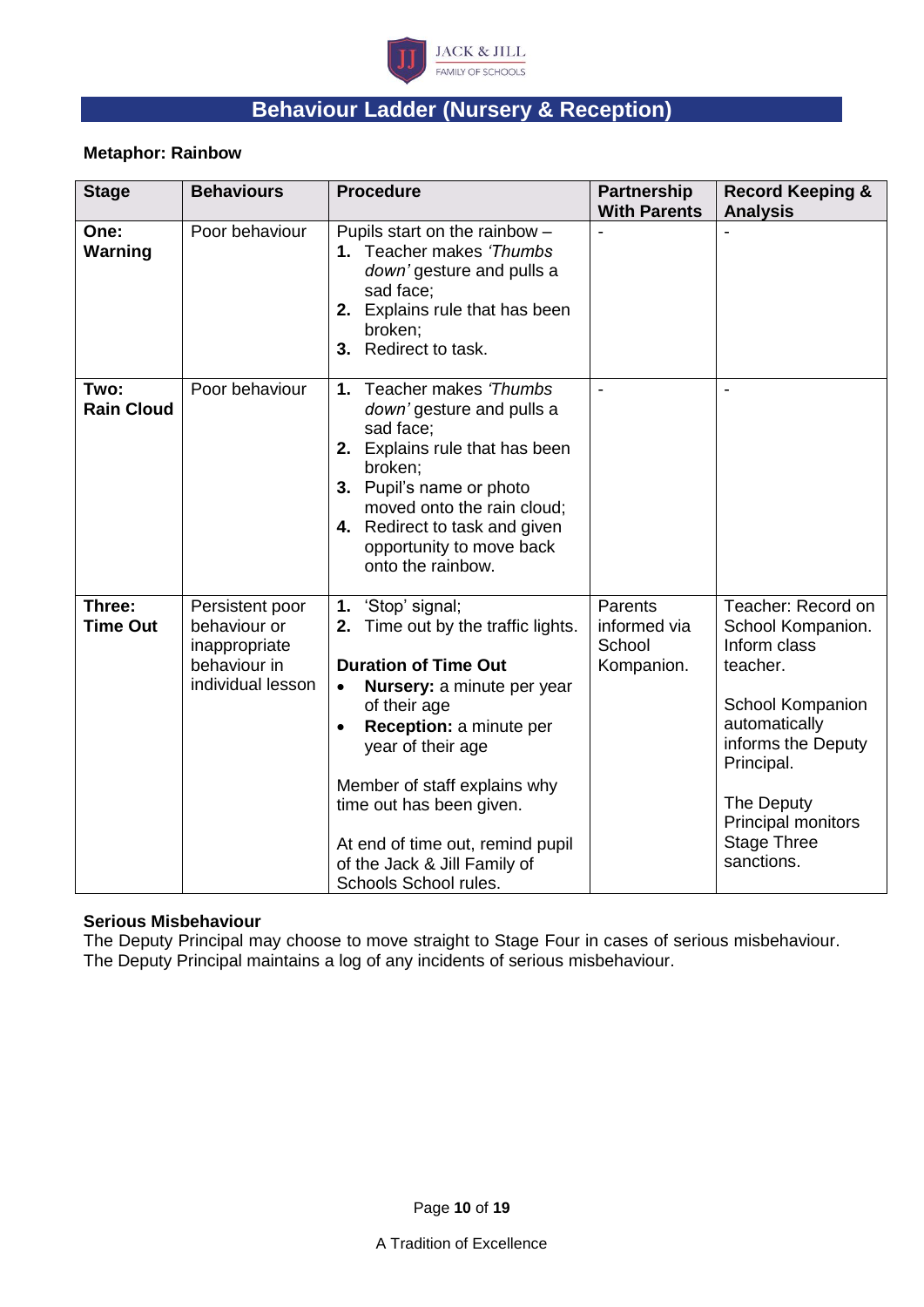

# **Behaviour Ladder (Nursery & Reception)**

#### **Metaphor: Rainbow**

| <b>Stage</b>              | <b>Behaviours</b>                                                                     | <b>Procedure</b>                                                                                                                                                                                                                                                                                                                                                              | <b>Partnership</b><br><b>With Parents</b>       | <b>Record Keeping &amp;</b><br><b>Analysis</b>                                                                                                                                                                       |
|---------------------------|---------------------------------------------------------------------------------------|-------------------------------------------------------------------------------------------------------------------------------------------------------------------------------------------------------------------------------------------------------------------------------------------------------------------------------------------------------------------------------|-------------------------------------------------|----------------------------------------------------------------------------------------------------------------------------------------------------------------------------------------------------------------------|
| One:<br>Warning           | Poor behaviour                                                                        | Pupils start on the rainbow -<br>1. Teacher makes 'Thumbs<br>down' gesture and pulls a<br>sad face;<br>2. Explains rule that has been<br>broken;<br>Redirect to task.<br>3.                                                                                                                                                                                                   |                                                 |                                                                                                                                                                                                                      |
| Two:<br><b>Rain Cloud</b> | Poor behaviour                                                                        | 1. Teacher makes 'Thumbs<br>down' gesture and pulls a<br>sad face;<br>2. Explains rule that has been<br>broken;<br>3. Pupil's name or photo<br>moved onto the rain cloud;<br>4. Redirect to task and given<br>opportunity to move back<br>onto the rainbow.                                                                                                                   |                                                 |                                                                                                                                                                                                                      |
| Three:<br><b>Time Out</b> | Persistent poor<br>behaviour or<br>inappropriate<br>behaviour in<br>individual lesson | 'Stop' signal;<br>1.<br>Time out by the traffic lights.<br>2.<br><b>Duration of Time Out</b><br>Nursery: a minute per year<br>$\bullet$<br>of their age<br>Reception: a minute per<br>$\bullet$<br>year of their age<br>Member of staff explains why<br>time out has been given.<br>At end of time out, remind pupil<br>of the Jack & Jill Family of<br>Schools School rules. | Parents<br>informed via<br>School<br>Kompanion. | Teacher: Record on<br>School Kompanion.<br>Inform class<br>teacher.<br>School Kompanion<br>automatically<br>informs the Deputy<br>Principal.<br>The Deputy<br>Principal monitors<br><b>Stage Three</b><br>sanctions. |

#### **Serious Misbehaviour**

The Deputy Principal may choose to move straight to Stage Four in cases of serious misbehaviour. The Deputy Principal maintains a log of any incidents of serious misbehaviour.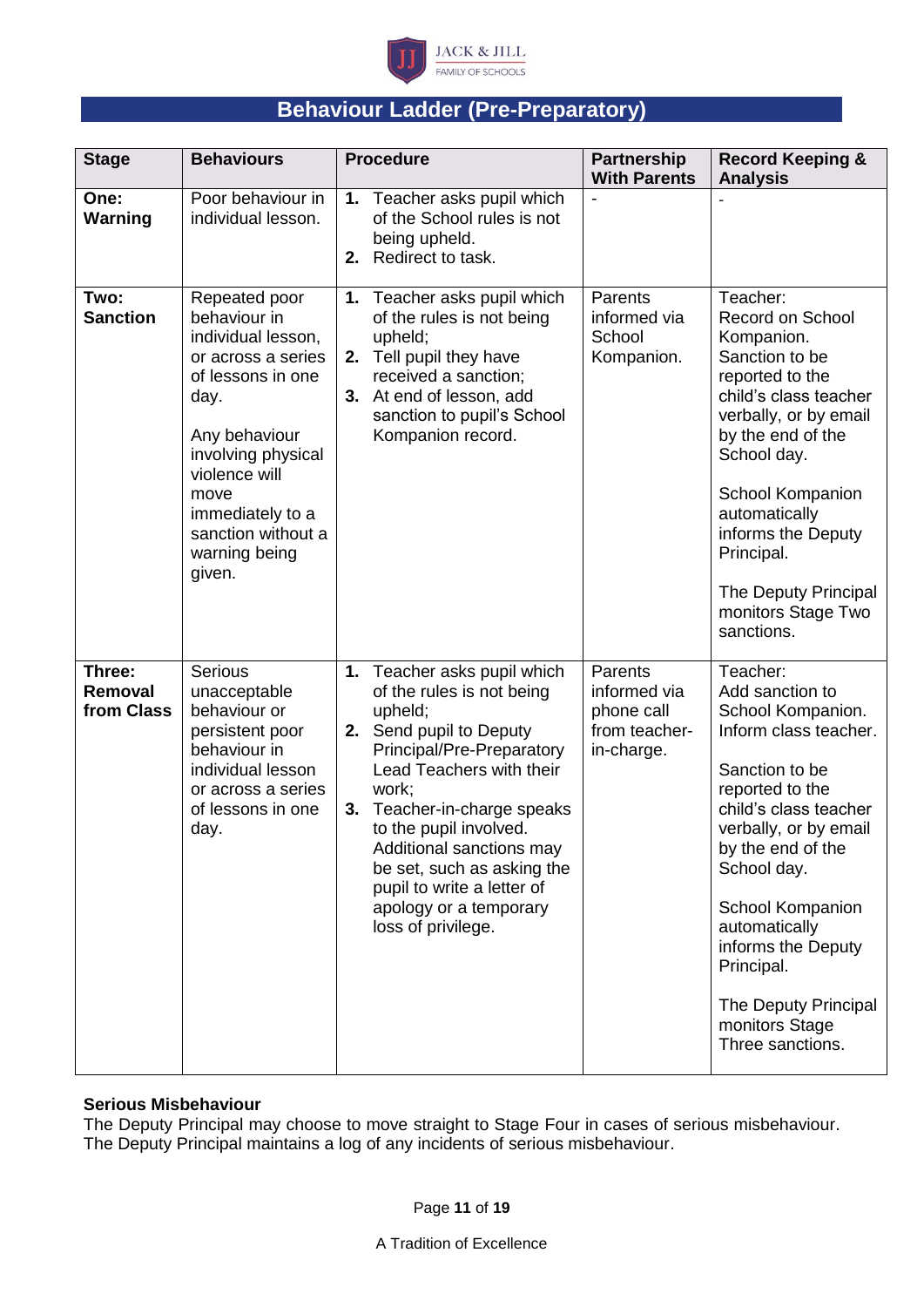

# **Behaviour Ladder (Pre-Preparatory)**

| <b>Stage</b>                    | <b>Behaviours</b>                                                                                                                                                                                                                           | <b>Procedure</b>                                                                                                                                                                                                                                                                                                                                                     | <b>Partnership</b><br><b>With Parents</b>                            | <b>Record Keeping &amp;</b><br><b>Analysis</b>                                                                                                                                                                                                                                                                                              |
|---------------------------------|---------------------------------------------------------------------------------------------------------------------------------------------------------------------------------------------------------------------------------------------|----------------------------------------------------------------------------------------------------------------------------------------------------------------------------------------------------------------------------------------------------------------------------------------------------------------------------------------------------------------------|----------------------------------------------------------------------|---------------------------------------------------------------------------------------------------------------------------------------------------------------------------------------------------------------------------------------------------------------------------------------------------------------------------------------------|
| One:<br><b>Warning</b>          | Poor behaviour in<br>individual lesson.                                                                                                                                                                                                     | 1. Teacher asks pupil which<br>of the School rules is not<br>being upheld.<br>Redirect to task.<br>2.                                                                                                                                                                                                                                                                |                                                                      |                                                                                                                                                                                                                                                                                                                                             |
| Two:<br><b>Sanction</b>         | Repeated poor<br>behaviour in<br>individual lesson,<br>or across a series<br>of lessons in one<br>day.<br>Any behaviour<br>involving physical<br>violence will<br>move<br>immediately to a<br>sanction without a<br>warning being<br>given. | 1. Teacher asks pupil which<br>of the rules is not being<br>upheld;<br>2. Tell pupil they have<br>received a sanction;<br>At end of lesson, add<br>3.<br>sanction to pupil's School<br>Kompanion record.                                                                                                                                                             | Parents<br>informed via<br>School<br>Kompanion.                      | Teacher:<br>Record on School<br>Kompanion.<br>Sanction to be<br>reported to the<br>child's class teacher<br>verbally, or by email<br>by the end of the<br>School day.<br>School Kompanion<br>automatically<br>informs the Deputy<br>Principal.<br>The Deputy Principal<br>monitors Stage Two<br>sanctions.                                  |
| Three:<br>Removal<br>from Class | Serious<br>unacceptable<br>behaviour or<br>persistent poor<br>behaviour in<br>individual lesson<br>or across a series<br>of lessons in one<br>day.                                                                                          | 1. Teacher asks pupil which<br>of the rules is not being<br>upheld;<br>2. Send pupil to Deputy<br>Principal/Pre-Preparatory<br>Lead Teachers with their<br>work;<br>Teacher-in-charge speaks<br>3.<br>to the pupil involved.<br>Additional sanctions may<br>be set, such as asking the<br>pupil to write a letter of<br>apology or a temporary<br>loss of privilege. | Parents<br>informed via<br>phone call<br>from teacher-<br>in-charge. | Teacher:<br>Add sanction to<br>School Kompanion.<br>Inform class teacher.<br>Sanction to be<br>reported to the<br>child's class teacher<br>verbally, or by email<br>by the end of the<br>School day.<br>School Kompanion<br>automatically<br>informs the Deputy<br>Principal.<br>The Deputy Principal<br>monitors Stage<br>Three sanctions. |

#### **Serious Misbehaviour**

The Deputy Principal may choose to move straight to Stage Four in cases of serious misbehaviour. The Deputy Principal maintains a log of any incidents of serious misbehaviour.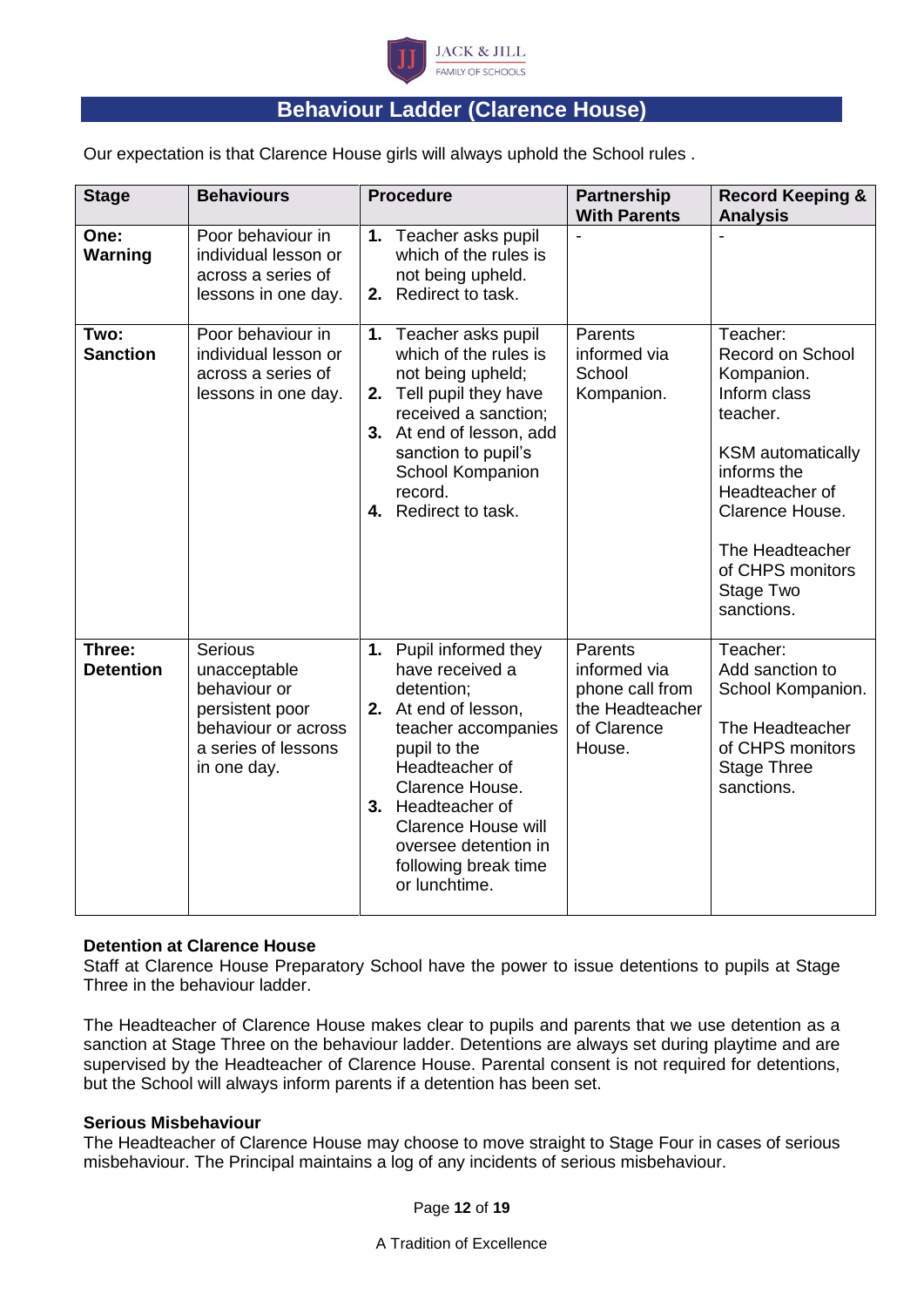

## **Behaviour Ladder (Clarence House)**

Our expectation is that Clarence House girls will always uphold the School rules .

| <b>Stage</b>               | <b>Behaviours</b>                                                                                                              | <b>Procedure</b>                                                                                                                                                                                                                                                                | <b>Partnership</b><br><b>With Parents</b>                                              | <b>Record Keeping &amp;</b><br><b>Analysis</b>                                                                                                                                                                                  |
|----------------------------|--------------------------------------------------------------------------------------------------------------------------------|---------------------------------------------------------------------------------------------------------------------------------------------------------------------------------------------------------------------------------------------------------------------------------|----------------------------------------------------------------------------------------|---------------------------------------------------------------------------------------------------------------------------------------------------------------------------------------------------------------------------------|
| One:<br><b>Warning</b>     | Poor behaviour in<br>individual lesson or<br>across a series of<br>lessons in one day.                                         | Teacher asks pupil<br>1.<br>which of the rules is<br>not being upheld.<br>Redirect to task.<br>2.                                                                                                                                                                               |                                                                                        |                                                                                                                                                                                                                                 |
| Two:<br><b>Sanction</b>    | Poor behaviour in<br>individual lesson or<br>across a series of<br>lessons in one day.                                         | Teacher asks pupil<br>1.<br>which of the rules is<br>not being upheld;<br>2. Tell pupil they have<br>received a sanction;<br>3. At end of lesson, add<br>sanction to pupil's<br>School Kompanion<br>record.<br>4. Redirect to task.                                             | Parents<br>informed via<br>School<br>Kompanion.                                        | Teacher:<br><b>Record on School</b><br>Kompanion.<br>Inform class<br>teacher.<br><b>KSM</b> automatically<br>informs the<br>Headteacher of<br>Clarence House.<br>The Headteacher<br>of CHPS monitors<br>Stage Two<br>sanctions. |
| Three:<br><b>Detention</b> | <b>Serious</b><br>unacceptable<br>behaviour or<br>persistent poor<br>behaviour or across<br>a series of lessons<br>in one day. | 1. Pupil informed they<br>have received a<br>detention;<br>2. At end of lesson,<br>teacher accompanies<br>pupil to the<br>Headteacher of<br>Clarence House.<br>3. Headteacher of<br><b>Clarence House will</b><br>oversee detention in<br>following break time<br>or lunchtime. | Parents<br>informed via<br>phone call from<br>the Headteacher<br>of Clarence<br>House. | Teacher:<br>Add sanction to<br>School Kompanion.<br>The Headteacher<br>of CHPS monitors<br><b>Stage Three</b><br>sanctions.                                                                                                     |

#### **Detention at Clarence House**

Staff at Clarence House Preparatory School have the power to issue detentions to pupils at Stage Three in the behaviour ladder.

The Headteacher of Clarence House makes clear to pupils and parents that we use detention as a sanction at Stage Three on the behaviour ladder. Detentions are always set during playtime and are supervised by the Headteacher of Clarence House. Parental consent is not required for detentions, but the School will always inform parents if a detention has been set.

#### **Serious Misbehaviour**

The Headteacher of Clarence House may choose to move straight to Stage Four in cases of serious misbehaviour. The Principal maintains a log of any incidents of serious misbehaviour.

Page **12** of **19**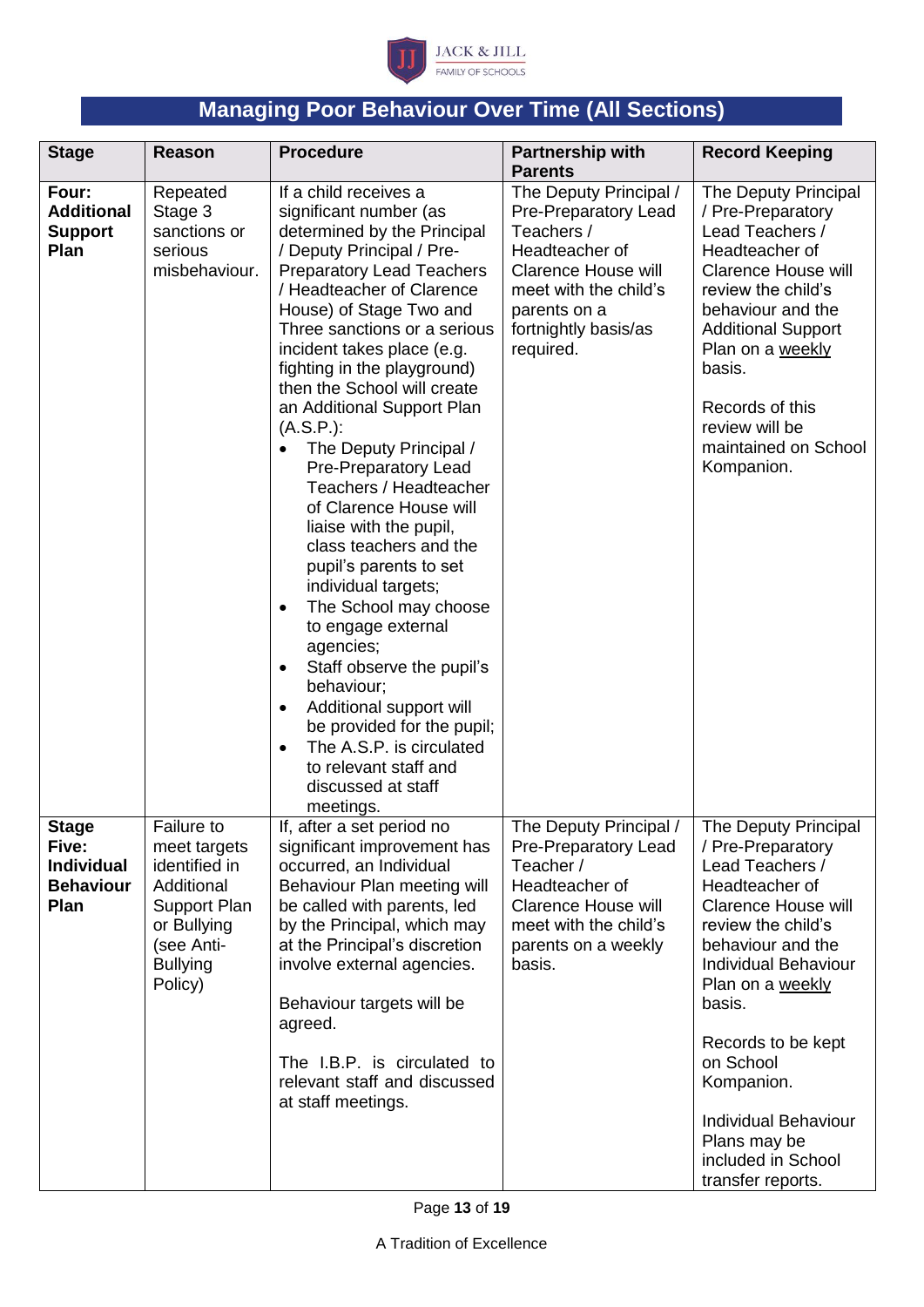

# **Managing Poor Behaviour Over Time (All Sections)**

| <b>Stage</b>                                                           | <b>Reason</b>                                                                                                                               | <b>Procedure</b>                                                                                                                                                                                                                                                                                                                                                                                                                                                                                                                                                                                                                                                                                                                                                                                                                                                                            | <b>Partnership with</b><br><b>Parents</b>                                                                                                                                                  | <b>Record Keeping</b>                                                                                                                                                                                                                                                                                                                                           |
|------------------------------------------------------------------------|---------------------------------------------------------------------------------------------------------------------------------------------|---------------------------------------------------------------------------------------------------------------------------------------------------------------------------------------------------------------------------------------------------------------------------------------------------------------------------------------------------------------------------------------------------------------------------------------------------------------------------------------------------------------------------------------------------------------------------------------------------------------------------------------------------------------------------------------------------------------------------------------------------------------------------------------------------------------------------------------------------------------------------------------------|--------------------------------------------------------------------------------------------------------------------------------------------------------------------------------------------|-----------------------------------------------------------------------------------------------------------------------------------------------------------------------------------------------------------------------------------------------------------------------------------------------------------------------------------------------------------------|
| Four:<br><b>Additional</b><br><b>Support</b><br>Plan                   | Repeated<br>Stage 3<br>sanctions or<br>serious<br>misbehaviour.                                                                             | If a child receives a<br>significant number (as<br>determined by the Principal<br>/ Deputy Principal / Pre-<br><b>Preparatory Lead Teachers</b><br>/ Headteacher of Clarence<br>House) of Stage Two and<br>Three sanctions or a serious<br>incident takes place (e.g.<br>fighting in the playground)<br>then the School will create<br>an Additional Support Plan<br>$(A.S.P.)$ :<br>The Deputy Principal /<br>Pre-Preparatory Lead<br>Teachers / Headteacher<br>of Clarence House will<br>liaise with the pupil,<br>class teachers and the<br>pupil's parents to set<br>individual targets;<br>The School may choose<br>to engage external<br>agencies;<br>Staff observe the pupil's<br>$\bullet$<br>behaviour;<br>Additional support will<br>$\bullet$<br>be provided for the pupil;<br>The A.S.P. is circulated<br>$\bullet$<br>to relevant staff and<br>discussed at staff<br>meetings. | The Deputy Principal /<br>Pre-Preparatory Lead<br>Teachers /<br>Headteacher of<br><b>Clarence House will</b><br>meet with the child's<br>parents on a<br>fortnightly basis/as<br>required. | The Deputy Principal<br>/ Pre-Preparatory<br>Lead Teachers /<br>Headteacher of<br><b>Clarence House will</b><br>review the child's<br>behaviour and the<br><b>Additional Support</b><br>Plan on a weekly<br>basis.<br>Records of this<br>review will be<br>maintained on School<br>Kompanion.                                                                   |
| <b>Stage</b><br>Five:<br><b>Individual</b><br><b>Behaviour</b><br>Plan | <b>Failure to</b><br>meet targets<br>identified in<br>Additional<br>Support Plan<br>or Bullying<br>(see Anti-<br><b>Bullying</b><br>Policy) | If, after a set period no<br>significant improvement has<br>occurred, an Individual<br>Behaviour Plan meeting will<br>be called with parents, led<br>by the Principal, which may<br>at the Principal's discretion<br>involve external agencies.<br>Behaviour targets will be<br>agreed.<br>The I.B.P. is circulated to<br>relevant staff and discussed<br>at staff meetings.                                                                                                                                                                                                                                                                                                                                                                                                                                                                                                                | The Deputy Principal /<br><b>Pre-Preparatory Lead</b><br>Teacher /<br>Headteacher of<br><b>Clarence House will</b><br>meet with the child's<br>parents on a weekly<br>basis.               | The Deputy Principal<br>/ Pre-Preparatory<br>Lead Teachers /<br>Headteacher of<br><b>Clarence House will</b><br>review the child's<br>behaviour and the<br><b>Individual Behaviour</b><br>Plan on a weekly<br>basis.<br>Records to be kept<br>on School<br>Kompanion.<br><b>Individual Behaviour</b><br>Plans may be<br>included in School<br>transfer reports. |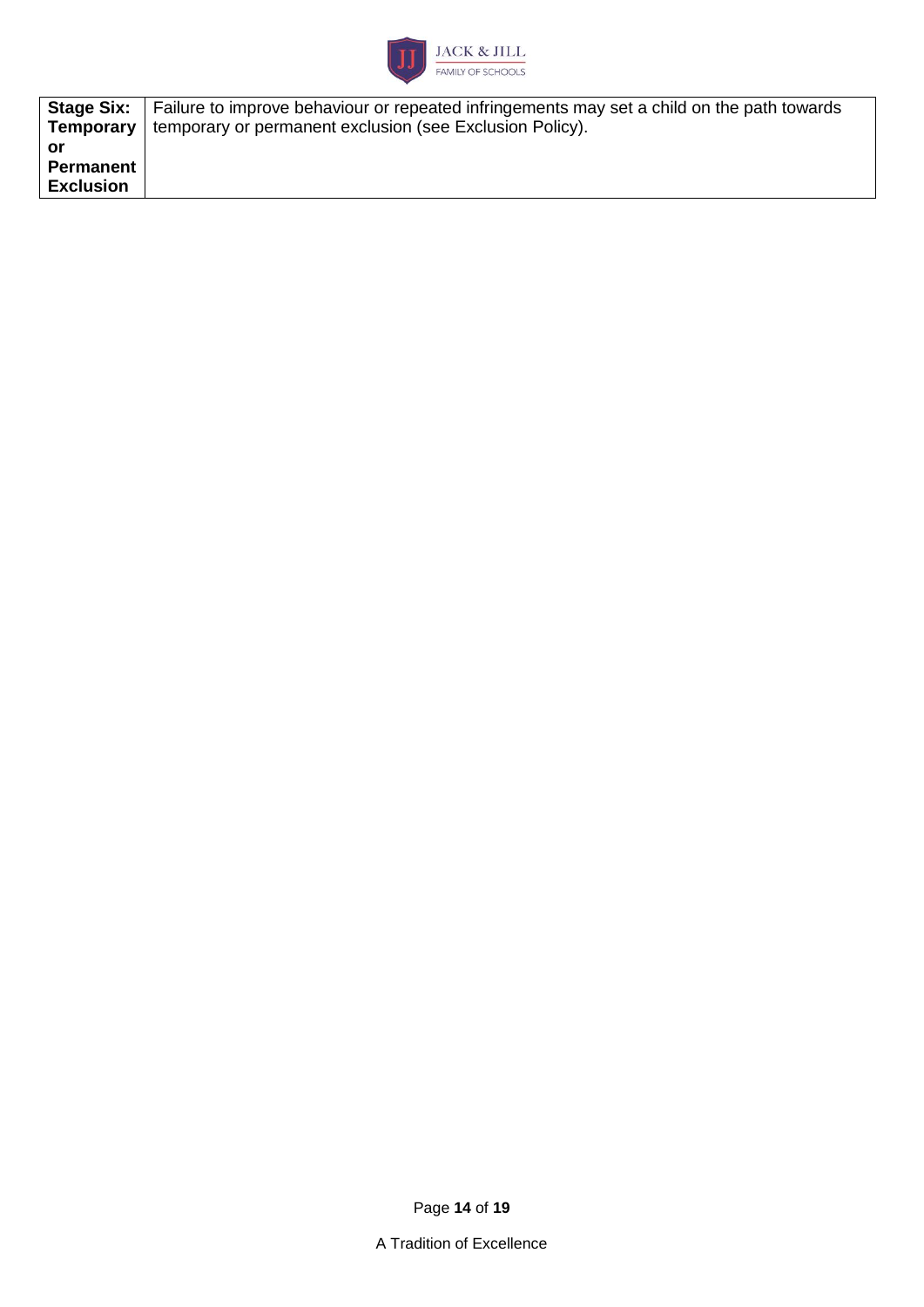

|                  | <b>Stage Six:</b>   Failure to improve behaviour or repeated infringements may set a child on the path towards |
|------------------|----------------------------------------------------------------------------------------------------------------|
|                  | <b>Temporary</b>   temporary or permanent exclusion (see Exclusion Policy).                                    |
| or               |                                                                                                                |
| <b>Permanent</b> |                                                                                                                |
| <b>Exclusion</b> |                                                                                                                |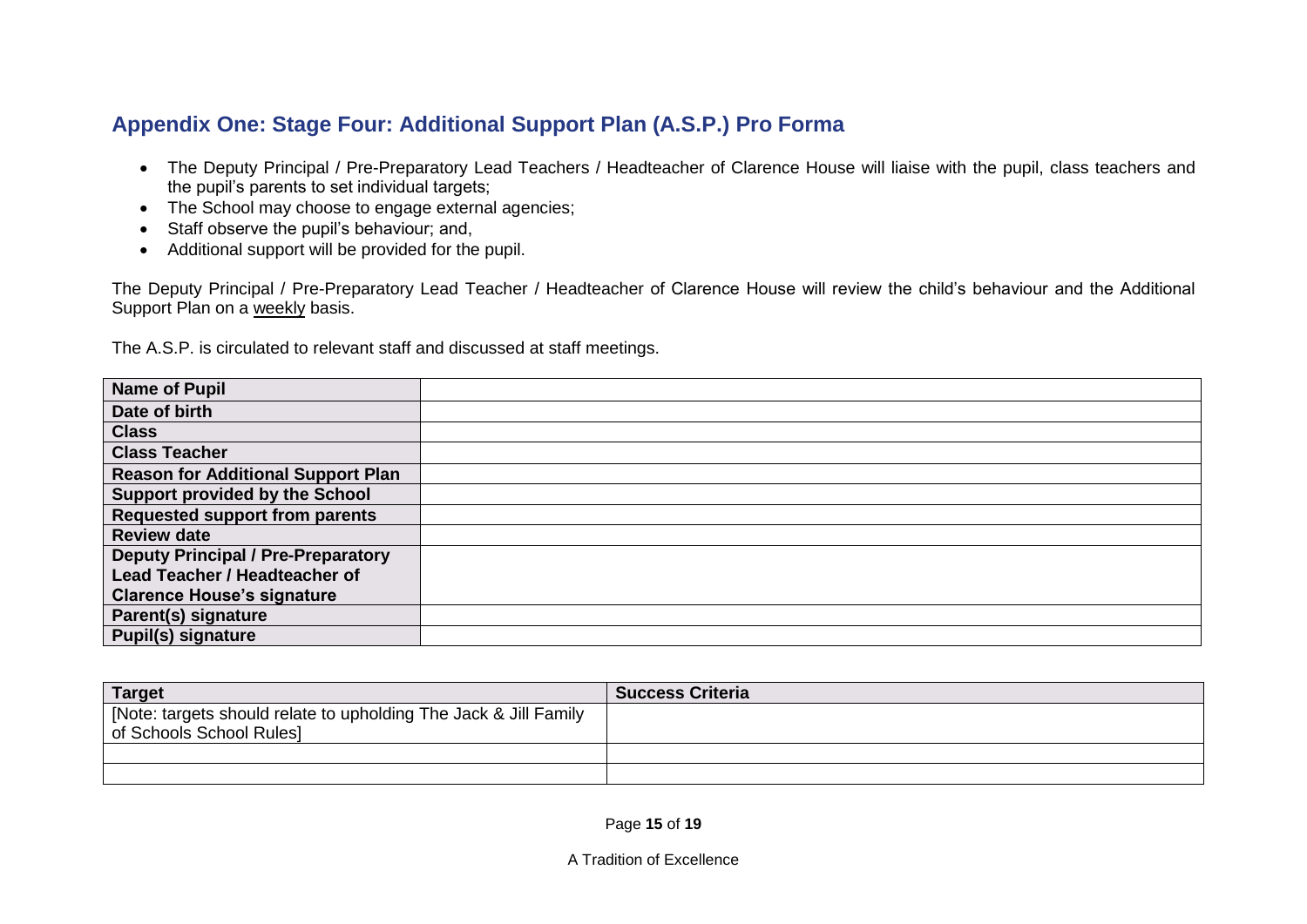## **Appendix One: Stage Four: Additional Support Plan (A.S.P.) Pro Forma**

- The Deputy Principal / Pre-Preparatory Lead Teachers / Headteacher of Clarence House will liaise with the pupil, class teachers and the pupil's parents to set individual targets;
- The School may choose to engage external agencies;
- Staff observe the pupil's behaviour; and,
- Additional support will be provided for the pupil.

The Deputy Principal / Pre-Preparatory Lead Teacher / Headteacher of Clarence House will review the child's behaviour and the Additional Support Plan on a weekly basis.

The A.S.P. is circulated to relevant staff and discussed at staff meetings.

| <b>Name of Pupil</b>                      |  |
|-------------------------------------------|--|
| Date of birth                             |  |
| <b>Class</b>                              |  |
| <b>Class Teacher</b>                      |  |
| <b>Reason for Additional Support Plan</b> |  |
| Support provided by the School            |  |
| <b>Requested support from parents</b>     |  |
| <b>Review date</b>                        |  |
| <b>Deputy Principal / Pre-Preparatory</b> |  |
| <b>Lead Teacher / Headteacher of</b>      |  |
| <b>Clarence House's signature</b>         |  |
| Parent(s) signature                       |  |
| <b>Pupil(s) signature</b>                 |  |

| <b>Target</b>                                                    | <b>Success Criteria</b> |
|------------------------------------------------------------------|-------------------------|
| [Note: targets should relate to upholding The Jack & Jill Family |                         |
| of Schools School Rules]                                         |                         |
|                                                                  |                         |
|                                                                  |                         |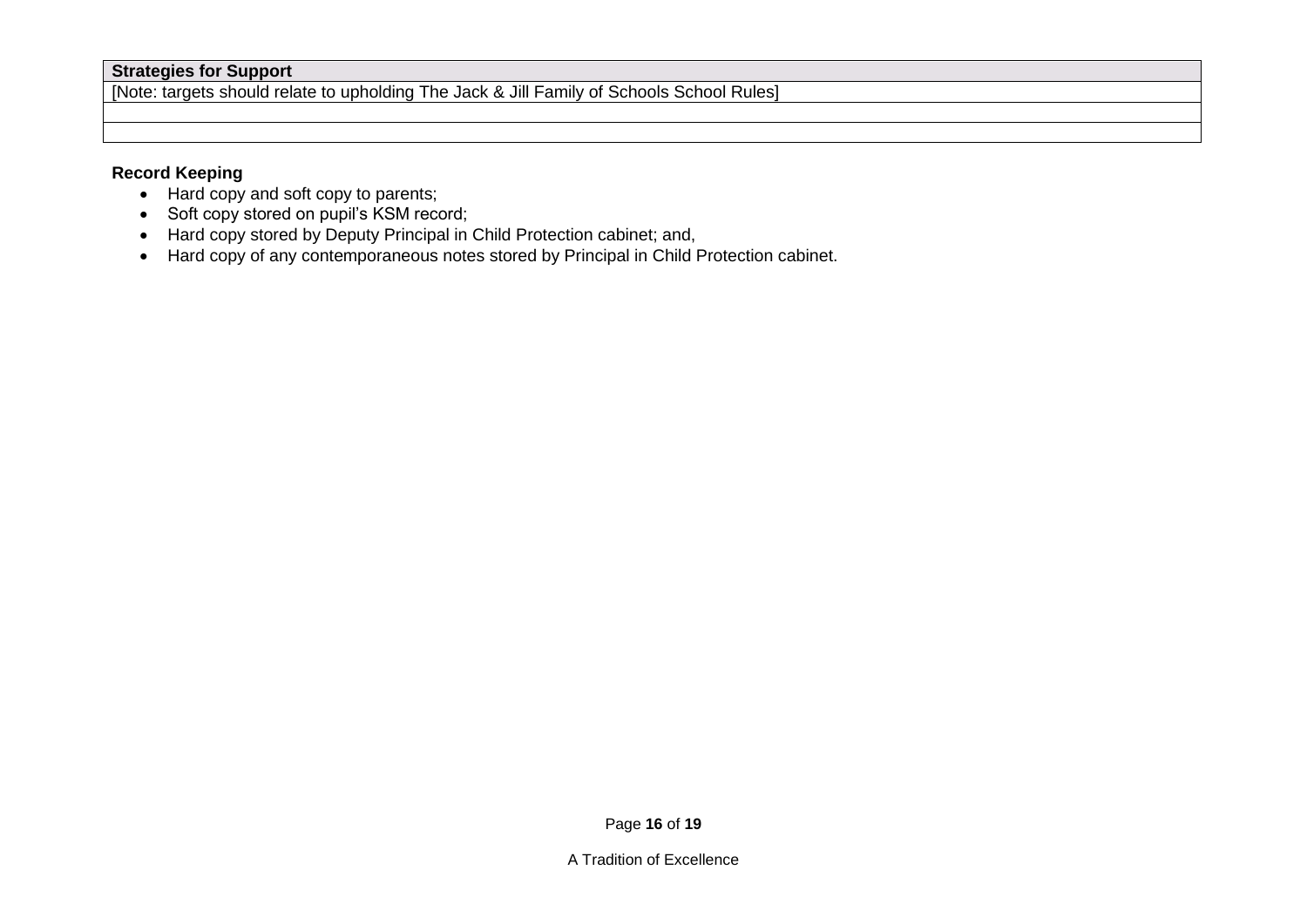#### **Strategies for Support**

[Note: targets should relate to upholding The Jack & Jill Family of Schools School Rules]

#### **Record Keeping**

- Hard copy and soft copy to parents;
- Soft copy stored on pupil's KSM record;
- Hard copy stored by Deputy Principal in Child Protection cabinet; and,
- Hard copy of any contemporaneous notes stored by Principal in Child Protection cabinet.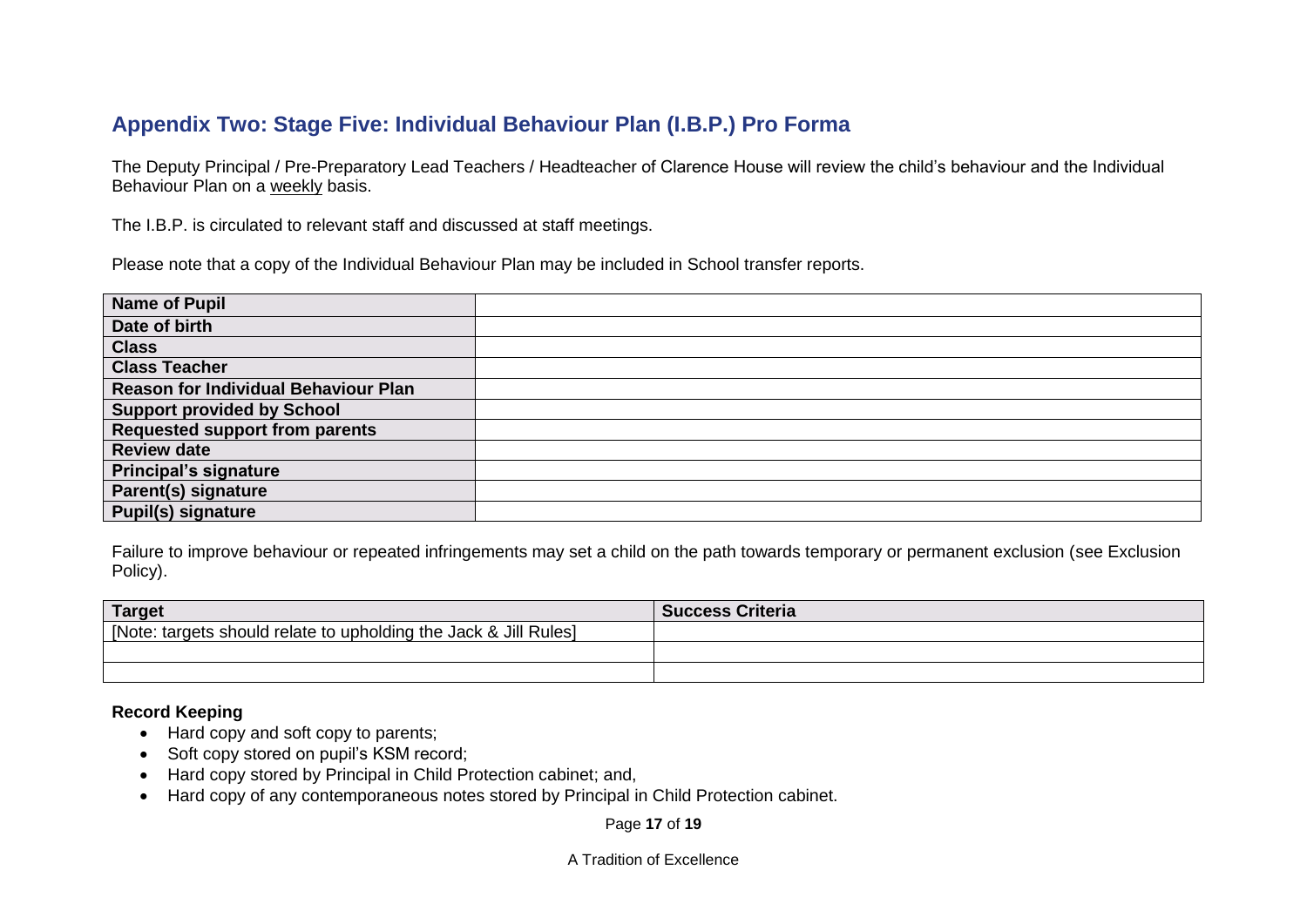## **Appendix Two: Stage Five: Individual Behaviour Plan (I.B.P.) Pro Forma**

The Deputy Principal / Pre-Preparatory Lead Teachers / Headteacher of Clarence House will review the child's behaviour and the Individual Behaviour Plan on a weekly basis.

The I.B.P. is circulated to relevant staff and discussed at staff meetings.

Please note that a copy of the Individual Behaviour Plan may be included in School transfer reports.

| <b>Name of Pupil</b>                        |  |
|---------------------------------------------|--|
| Date of birth                               |  |
| <b>Class</b>                                |  |
| <b>Class Teacher</b>                        |  |
| <b>Reason for Individual Behaviour Plan</b> |  |
| <b>Support provided by School</b>           |  |
| <b>Requested support from parents</b>       |  |
| <b>Review date</b>                          |  |
| <b>Principal's signature</b>                |  |
| Parent(s) signature                         |  |
| <b>Pupil(s) signature</b>                   |  |

Failure to improve behaviour or repeated infringements may set a child on the path towards temporary or permanent exclusion (see Exclusion Policy).

| <b>Target</b>                                                    | <b>Success Criteria</b> |
|------------------------------------------------------------------|-------------------------|
| [Note: targets should relate to upholding the Jack & Jill Rules] |                         |
|                                                                  |                         |
|                                                                  |                         |

#### **Record Keeping**

- Hard copy and soft copy to parents;
- Soft copy stored on pupil's KSM record;
- Hard copy stored by Principal in Child Protection cabinet; and,
- Hard copy of any contemporaneous notes stored by Principal in Child Protection cabinet.

Page **17** of **19**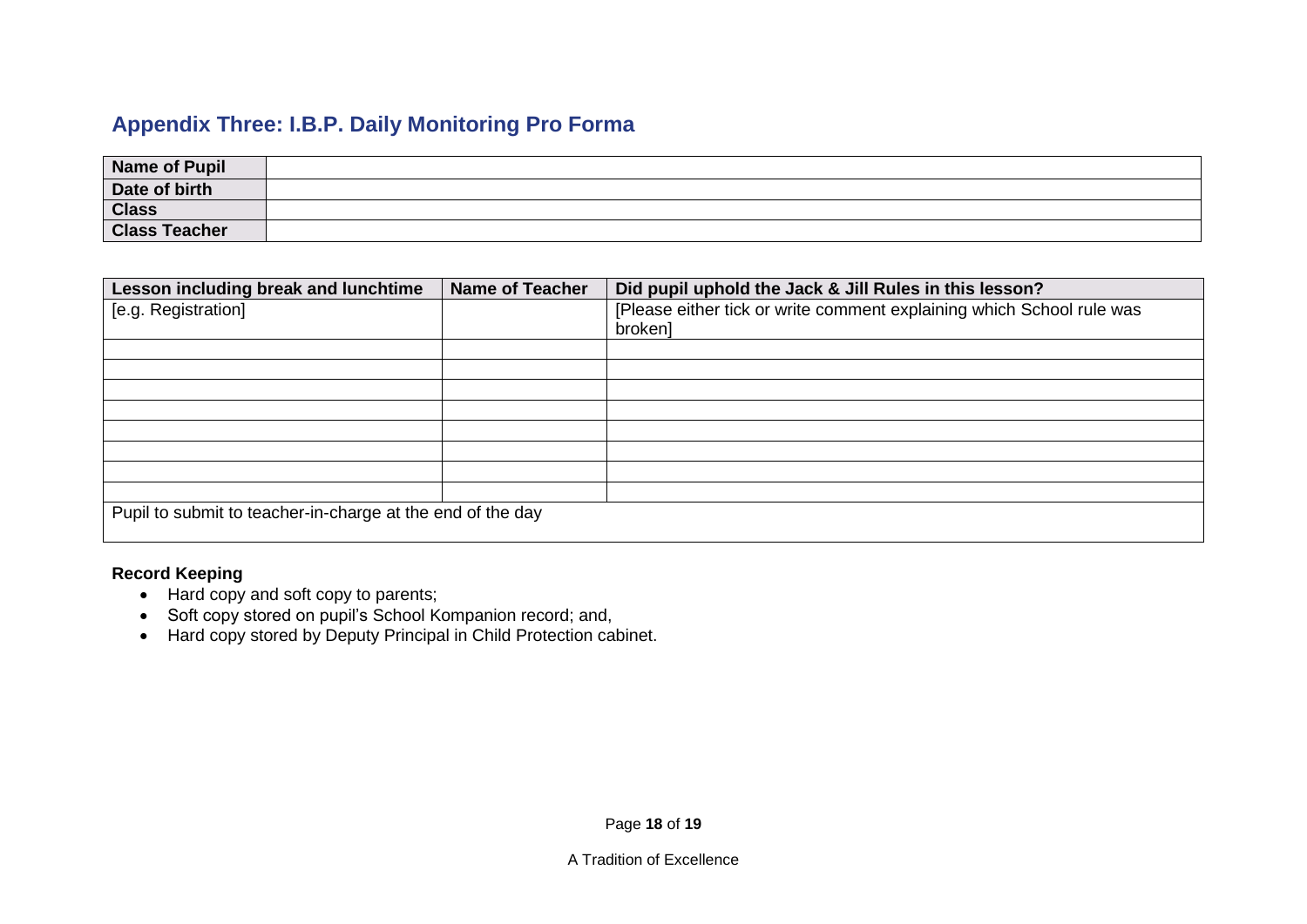# **Appendix Three: I.B.P. Daily Monitoring Pro Forma**

| Name of Pupil        |  |
|----------------------|--|
| Date of birth        |  |
| <b>Class</b>         |  |
| <b>Class Teacher</b> |  |

| Lesson including break and lunchtime                       | <b>Name of Teacher</b> | Did pupil uphold the Jack & Jill Rules in this lesson?                |  |  |
|------------------------------------------------------------|------------------------|-----------------------------------------------------------------------|--|--|
| [e.g. Registration]                                        |                        | [Please either tick or write comment explaining which School rule was |  |  |
|                                                            |                        | broken]                                                               |  |  |
|                                                            |                        |                                                                       |  |  |
|                                                            |                        |                                                                       |  |  |
|                                                            |                        |                                                                       |  |  |
|                                                            |                        |                                                                       |  |  |
|                                                            |                        |                                                                       |  |  |
|                                                            |                        |                                                                       |  |  |
|                                                            |                        |                                                                       |  |  |
|                                                            |                        |                                                                       |  |  |
| Pupil to submit to teacher-in-charge at the end of the day |                        |                                                                       |  |  |

#### **Record Keeping**

- Hard copy and soft copy to parents;
- Soft copy stored on pupil's School Kompanion record; and,
- Hard copy stored by Deputy Principal in Child Protection cabinet.